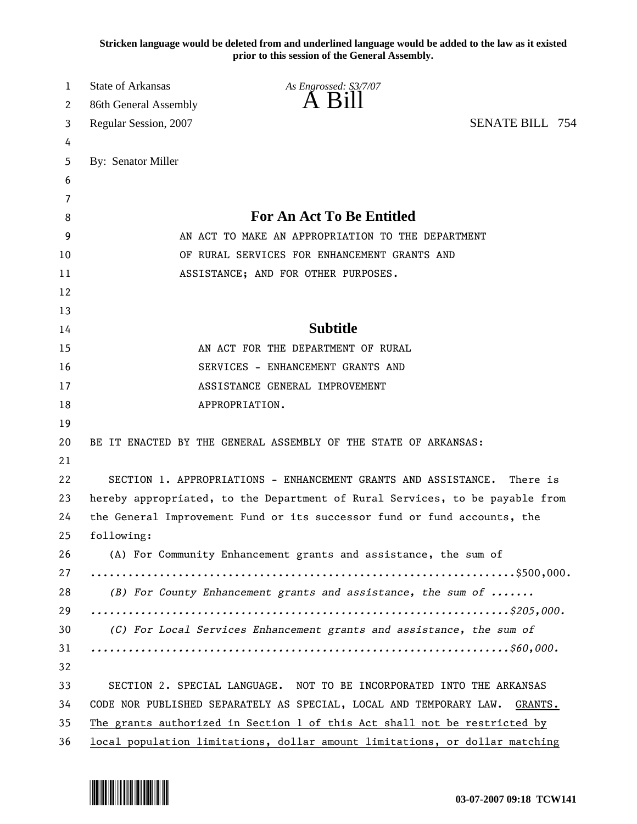**Stricken language would be deleted from and underlined language would be added to the law as it existed prior to this session of the General Assembly.**

| 1  | State of Arkansas                                                             | As Engrossed: S3/7/07                                           |                        |  |  |
|----|-------------------------------------------------------------------------------|-----------------------------------------------------------------|------------------------|--|--|
| 2  | 86th General Assembly                                                         | $\overline{A}$ $\overline{B}1$                                  |                        |  |  |
| 3  | Regular Session, 2007                                                         |                                                                 | <b>SENATE BILL 754</b> |  |  |
| 4  |                                                                               |                                                                 |                        |  |  |
| 5  | By: Senator Miller                                                            |                                                                 |                        |  |  |
| 6  |                                                                               |                                                                 |                        |  |  |
| 7  |                                                                               |                                                                 |                        |  |  |
| 8  |                                                                               | For An Act To Be Entitled                                       |                        |  |  |
| 9  | AN ACT TO MAKE AN APPROPRIATION TO THE DEPARTMENT                             |                                                                 |                        |  |  |
| 10 | OF RURAL SERVICES FOR ENHANCEMENT GRANTS AND                                  |                                                                 |                        |  |  |
| 11 | ASSISTANCE; AND FOR OTHER PURPOSES.                                           |                                                                 |                        |  |  |
| 12 |                                                                               |                                                                 |                        |  |  |
| 13 |                                                                               |                                                                 |                        |  |  |
| 14 |                                                                               | <b>Subtitle</b>                                                 |                        |  |  |
| 15 |                                                                               | AN ACT FOR THE DEPARTMENT OF RURAL                              |                        |  |  |
| 16 | SERVICES - ENHANCEMENT GRANTS AND                                             |                                                                 |                        |  |  |
| 17 | ASSISTANCE GENERAL IMPROVEMENT                                                |                                                                 |                        |  |  |
| 18 |                                                                               | APPROPRIATION.                                                  |                        |  |  |
| 19 |                                                                               |                                                                 |                        |  |  |
| 20 |                                                                               | BE IT ENACTED BY THE GENERAL ASSEMBLY OF THE STATE OF ARKANSAS: |                        |  |  |
| 21 |                                                                               |                                                                 |                        |  |  |
| 22 |                                                                               | SECTION 1. APPROPRIATIONS - ENHANCEMENT GRANTS AND ASSISTANCE.  | There is               |  |  |
| 23 | hereby appropriated, to the Department of Rural Services, to be payable from  |                                                                 |                        |  |  |
| 24 | the General Improvement Fund or its successor fund or fund accounts, the      |                                                                 |                        |  |  |
| 25 | following:                                                                    |                                                                 |                        |  |  |
| 26 | (A) For Community Enhancement grants and assistance, the sum of               |                                                                 |                        |  |  |
| 27 |                                                                               |                                                                 |                        |  |  |
| 28 | (B) For County Enhancement grants and assistance, the sum of                  |                                                                 |                        |  |  |
| 29 |                                                                               |                                                                 |                        |  |  |
| 30 | (C) For Local Services Enhancement grants and assistance, the sum of          |                                                                 |                        |  |  |
| 31 |                                                                               |                                                                 |                        |  |  |
| 32 |                                                                               |                                                                 |                        |  |  |
| 33 | SECTION 2. SPECIAL LANGUAGE. NOT TO BE INCORPORATED INTO THE ARKANSAS         |                                                                 |                        |  |  |
| 34 | CODE NOR PUBLISHED SEPARATELY AS SPECIAL, LOCAL AND TEMPORARY LAW.<br>GRANTS. |                                                                 |                        |  |  |
| 35 | The grants authorized in Section 1 of this Act shall not be restricted by     |                                                                 |                        |  |  |
| 36 | local population limitations, dollar amount limitations, or dollar matching   |                                                                 |                        |  |  |

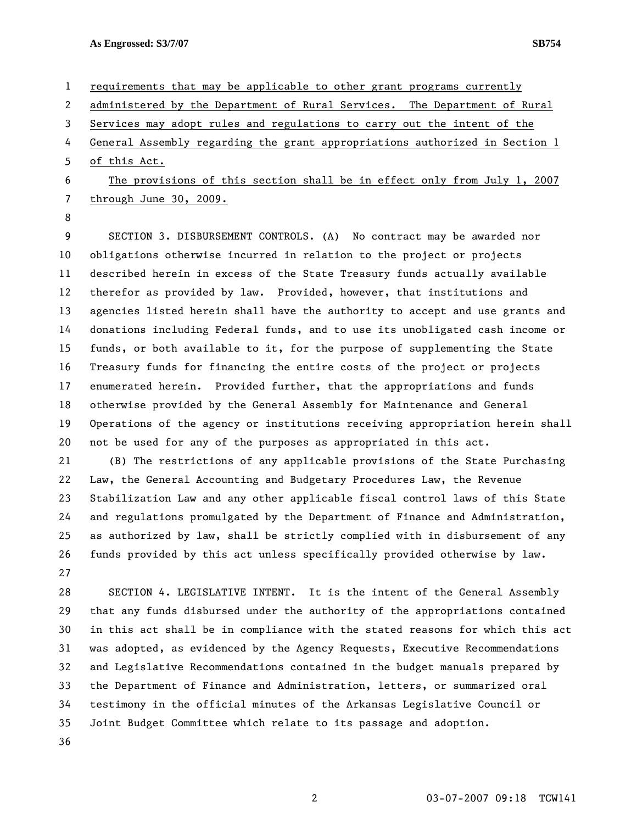**As Engrossed: S3/7/07 SB754** 

1 requirements that may be applicable to other grant programs currently 2 administered by the Department of Rural Services. The Department of Rural 3 Services may adopt rules and regulations to carry out the intent of the 4 General Assembly regarding the grant appropriations authorized in Section 1 5 of this Act. 6 The provisions of this section shall be in effect only from July 1, 2007 7 through June 30, 2009. 8 9 SECTION 3. DISBURSEMENT CONTROLS. (A) No contract may be awarded nor 10 obligations otherwise incurred in relation to the project or projects 11 described herein in excess of the State Treasury funds actually available 12 therefor as provided by law. Provided, however, that institutions and 13 agencies listed herein shall have the authority to accept and use grants and 14 donations including Federal funds, and to use its unobligated cash income or 15 funds, or both available to it, for the purpose of supplementing the State 16 Treasury funds for financing the entire costs of the project or projects 17 enumerated herein. Provided further, that the appropriations and funds 18 otherwise provided by the General Assembly for Maintenance and General 19 Operations of the agency or institutions receiving appropriation herein shall 20 not be used for any of the purposes as appropriated in this act.

21 (B) The restrictions of any applicable provisions of the State Purchasing 22 Law, the General Accounting and Budgetary Procedures Law, the Revenue 23 Stabilization Law and any other applicable fiscal control laws of this State 24 and regulations promulgated by the Department of Finance and Administration, 25 as authorized by law, shall be strictly complied with in disbursement of any 26 funds provided by this act unless specifically provided otherwise by law. 27

28 SECTION 4. LEGISLATIVE INTENT. It is the intent of the General Assembly 29 that any funds disbursed under the authority of the appropriations contained 30 in this act shall be in compliance with the stated reasons for which this act 31 was adopted, as evidenced by the Agency Requests, Executive Recommendations 32 and Legislative Recommendations contained in the budget manuals prepared by 33 the Department of Finance and Administration, letters, or summarized oral 34 testimony in the official minutes of the Arkansas Legislative Council or 35 Joint Budget Committee which relate to its passage and adoption. 36